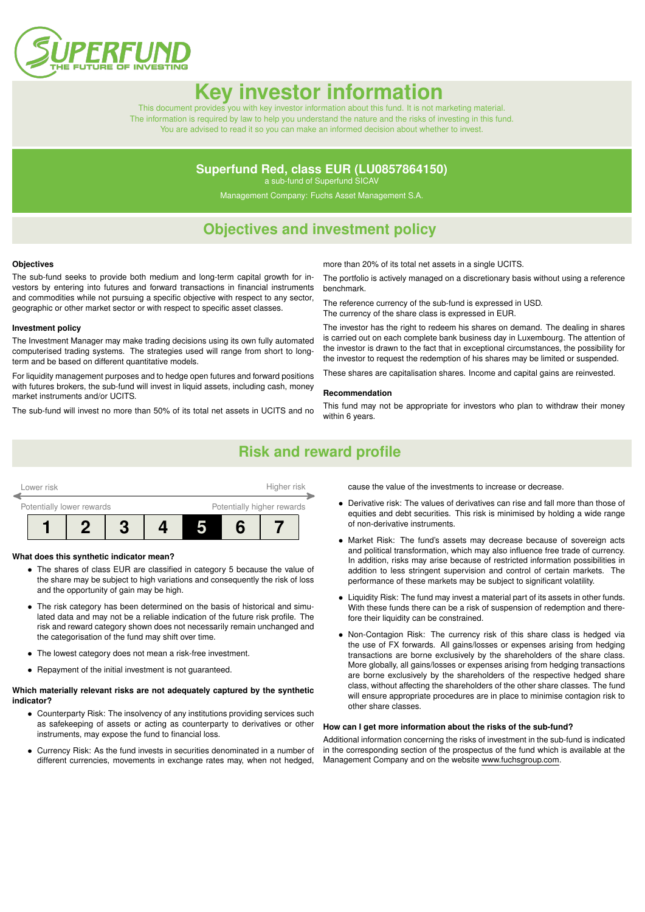

# **Key investor informat**

This document provides you with key investor information about this fund. It is not marketing material. The information is required by law to help you understand the nature and the risks of investing in this fund. You are advised to read it so you can make an informed decision about whether to invest.

### **Superfund Red, class EUR (LU0857864150)**

a sub-fund of Superfund SICAV

Management Company: Fuchs Asset Management S.A.

### **Objectives and investment policy**

#### **Objectives**

The sub-fund seeks to provide both medium and long-term capital growth for investors by entering into futures and forward transactions in financial instruments and commodities while not pursuing a specific objective with respect to any sector, geographic or other market sector or with respect to specific asset classes.

#### **Investment policy**

The Investment Manager may make trading decisions using its own fully automated computerised trading systems. The strategies used will range from short to longterm and be based on different quantitative models.

For liquidity management purposes and to hedge open futures and forward positions with futures brokers, the sub-fund will invest in liquid assets, including cash, money market instruments and/or UCITS.

The sub-fund will invest no more than 50% of its total net assets in UCITS and no

more than 20% of its total net assets in a single UCITS.

The portfolio is actively managed on a discretionary basis without using a reference benchmark.

The reference currency of the sub-fund is expressed in USD.

The currency of the share class is expressed in EUR.

The investor has the right to redeem his shares on demand. The dealing in shares is carried out on each complete bank business day in Luxembourg. The attention of the investor is drawn to the fact that in exceptional circumstances, the possibility for the investor to request the redemption of his shares may be limited or suspended.

These shares are capitalisation shares. Income and capital gains are reinvested.

#### **Recommendation**

This fund may not be appropriate for investors who plan to withdraw their money within 6 years.

### **Risk and reward profile**

| Higher risk<br>Lower risk |                           |  |  |                            |  |  |  |  |
|---------------------------|---------------------------|--|--|----------------------------|--|--|--|--|
|                           | Potentially lower rewards |  |  | Potentially higher rewards |  |  |  |  |
|                           |                           |  |  |                            |  |  |  |  |

#### **What does this synthetic indicator mean?**

- The shares of class EUR are classified in category 5 because the value of the share may be subject to high variations and consequently the risk of loss and the opportunity of gain may be high.
- The risk category has been determined on the basis of historical and simulated data and may not be a reliable indication of the future risk profile. The risk and reward category shown does not necessarily remain unchanged and the categorisation of the fund may shift over time.
- The lowest category does not mean a risk-free investment.
- Repayment of the initial investment is not guaranteed.

#### **Which materially relevant risks are not adequately captured by the synthetic indicator?**

- Counterparty Risk: The insolvency of any institutions providing services such as safekeeping of assets or acting as counterparty to derivatives or other instruments, may expose the fund to financial loss.
- Currency Risk: As the fund invests in securities denominated in a number of different currencies, movements in exchange rates may, when not hedged,

cause the value of the investments to increase or decrease.

- Derivative risk: The values of derivatives can rise and fall more than those of equities and debt securities. This risk is minimised by holding a wide range of non-derivative instruments.
- Market Risk: The fund's assets may decrease because of sovereign acts and political transformation, which may also influence free trade of currency. In addition, risks may arise because of restricted information possibilities in addition to less stringent supervision and control of certain markets. The performance of these markets may be subject to significant volatility.
- Liquidity Risk: The fund may invest a material part of its assets in other funds. With these funds there can be a risk of suspension of redemption and therefore their liquidity can be constrained.
- Non-Contagion Risk: The currency risk of this share class is hedged via the use of FX forwards. All gains/losses or expenses arising from hedging transactions are borne exclusively by the shareholders of the share class. More globally, all gains/losses or expenses arising from hedging transactions are borne exclusively by the shareholders of the respective hedged share class, without affecting the shareholders of the other share classes. The fund will ensure appropriate procedures are in place to minimise contagion risk to other share classes.

#### **How can I get more information about the risks of the sub-fund?**

Additional information concerning the risks of investment in the sub-fund is indicated in the corresponding section of the prospectus of the fund which is available at the Management Company and on the website [www.fuchsgroup.com.](http://www.fuchsgroup.com)